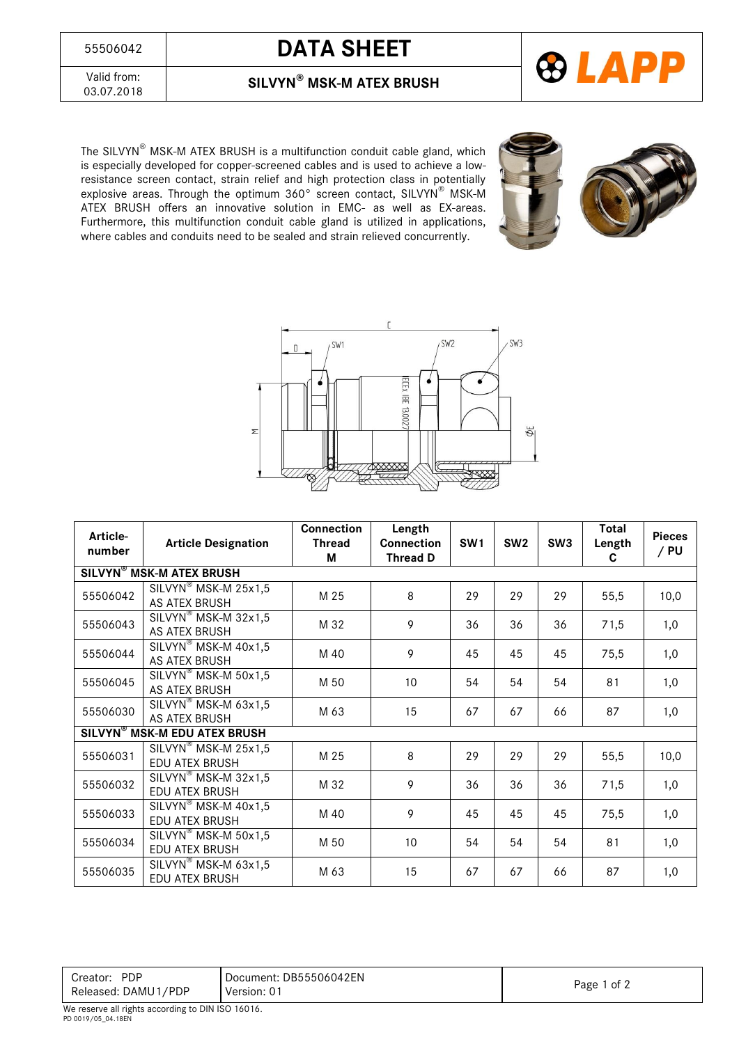## <sup>55506042</sup> **DATA SHEET**



Valid from:<br>03.07.2018

03.07.2018 **SILVYN® MSK-M ATEX BRUSH**

The SILVYN® MSK-M ATEX BRUSH is a multifunction conduit cable gland, which is especially developed for copper-screened cables and is used to achieve a lowresistance screen contact, strain relief and high protection class in potentially explosive areas. Through the optimum 360° screen contact, SILVYN® MSK-M ATEX BRUSH offers an innovative solution in EMC- as well as EX-areas. Furthermore, this multifunction conduit cable gland is utilized in applications, where cables and conduits need to be sealed and strain relieved concurrently.





| Article-<br>number                             | <b>Article Designation</b>                                              | <b>Connection</b><br><b>Thread</b><br>М | Length<br><b>Connection</b><br><b>Thread D</b> | SW <sub>1</sub> | SW <sub>2</sub> | SW <sub>3</sub> | <b>Total</b><br>Length<br>C | <b>Pieces</b><br>/ PU |
|------------------------------------------------|-------------------------------------------------------------------------|-----------------------------------------|------------------------------------------------|-----------------|-----------------|-----------------|-----------------------------|-----------------------|
|                                                | <b>SILVYN<sup>®</sup> MSK-M ATEX BRUSH</b>                              |                                         |                                                |                 |                 |                 |                             |                       |
| 55506042                                       | $\overline{\text{SILVYN}^{\otimes}}$ MSK-M 25x1,5<br>AS ATEX BRUSH      | M 25                                    | 8                                              | 29              | 29              | 29              | 55,5                        | 10,0                  |
| 55506043                                       | SILVYN <sup>®</sup> MSK-M 32x1,5<br>AS ATEX BRUSH                       | M 32                                    | 9                                              | 36              | 36              | 36              | 71,5                        | 1,0                   |
| 55506044                                       | SILVYN <sup>®</sup> MSK-M 40x1,5<br>AS ATEX BRUSH                       | M 40                                    | 9                                              | 45              | 45              | 45              | 75,5                        | 1,0                   |
| 55506045                                       | SILVYN <sup>®</sup> MSK-M 50x1,5<br>AS ATEX BRUSH                       | M 50                                    | 10 <sup>°</sup>                                | 54              | 54              | 54              | 81                          | 1,0                   |
| 55506030                                       | SILVYN <sup>®</sup> MSK-M 63x1,5<br>AS ATEX BRUSH                       | M 63                                    | 15                                             | 67              | 67              | 66              | 87                          | 1,0                   |
| <b>SILVYN<sup>®</sup> MSK-M EDU ATEX BRUSH</b> |                                                                         |                                         |                                                |                 |                 |                 |                             |                       |
| 55506031                                       | SILVYN <sup>®</sup> MSK-M 25x1,5<br><b>EDU ATEX BRUSH</b>               | M 25                                    | 8                                              | 29              | 29              | 29              | 55,5                        | 10,0                  |
| 55506032                                       | $\overline{\text{SILVYN}^{\otimes}}$ MSK-M 32x1,5<br>EDU ATEX BRUSH     | M 32                                    | 9                                              | 36              | 36              | 36              | 71,5                        | 1,0                   |
| 55506033                                       | $\overline{\text{SILVYN}^{\otimes}}$ MSK-M 40x1,5<br>EDU ATEX BRUSH     | M 40                                    | 9                                              | 45              | 45              | 45              | 75,5                        | 1,0                   |
| 55506034                                       | SILVYN <sup>®</sup> MSK-M 50x1,5<br>EDU ATEX BRUSH                      | M 50                                    | 10 <sup>1</sup>                                | 54              | 54              | 54              | 81                          | 1,0                   |
| 55506035                                       | $\overline{\text{SILVYN}}^{\circledast}$ MSK-M 63x1,5<br>EDU ATEX BRUSH | M 63                                    | 15                                             | 67              | 67              | 66              | 87                          | 1,0                   |

| <b>PDP</b><br>Creator:<br>Released: DAMU1/PDP | Document: DB55506042EN<br>Version: 01 | Page 1 of 2 |
|-----------------------------------------------|---------------------------------------|-------------|